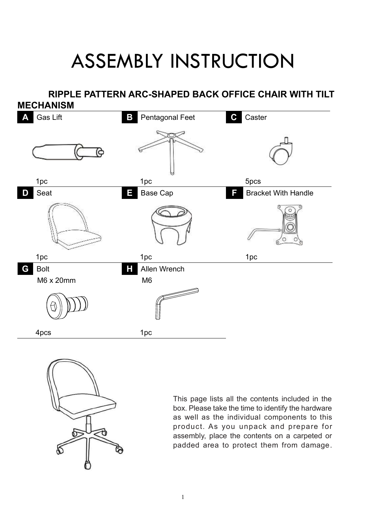## ASSEMBLY INSTRUCTION

## **E235C RIPPLE PATTERN ARC-SHAPED BACK OFFICE CHAIR WITH TILT MECHANISM A** Gas Lift **B** Pentagonal Feet **C** Caster ᢙ





This page lists all the contents included in the box. Please take the time to identify the hardware as well as the individual components to this product. As you unpack and prepare for assembly, place the contents on a carpeted or padded area to protect them from damage.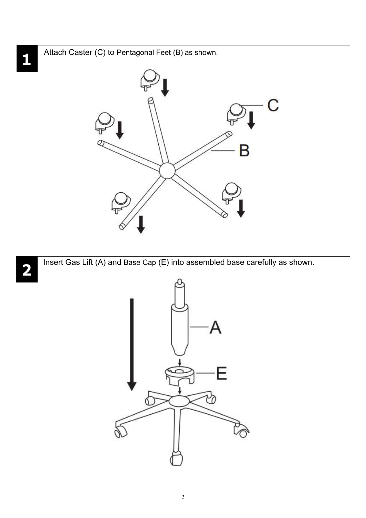Attach Caster (C) to Pentagonal Feet (B) as shown.



Insert Gas Lift (A) and Base Cap (E) into assembled base carefully as shown.

**2**